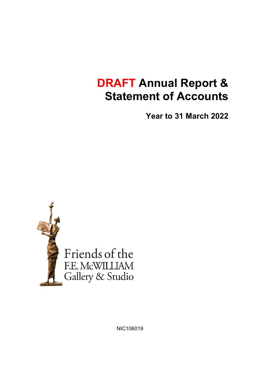# **DRAFT Annual Report & Statement of Accounts**

**Year to 31 March 2022**



NIC106019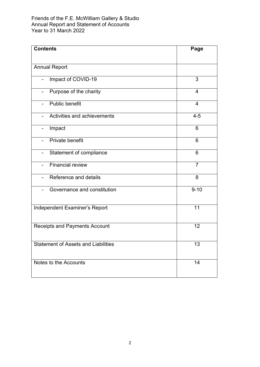| <b>Contents</b>                            | Page           |  |
|--------------------------------------------|----------------|--|
|                                            |                |  |
| <b>Annual Report</b>                       |                |  |
| Impact of COVID-19                         | 3              |  |
| Purpose of the charity                     | $\overline{4}$ |  |
| Public benefit<br>$\overline{\phantom{0}}$ | $\overline{4}$ |  |
| Activities and achievements                | $4 - 5$        |  |
| Impact                                     | 6              |  |
| Private benefit<br>$\blacksquare$          | 6              |  |
| Statement of compliance                    | 6              |  |
| <b>Financial review</b>                    | $\overline{7}$ |  |
| Reference and details                      | 8              |  |
| Governance and constitution                | $9 - 10$       |  |
| Independent Examiner's Report              | 11             |  |
| <b>Receipts and Payments Account</b>       | 12             |  |
| <b>Statement of Assets and Liabilities</b> | 13             |  |
| Notes to the Accounts                      | 14             |  |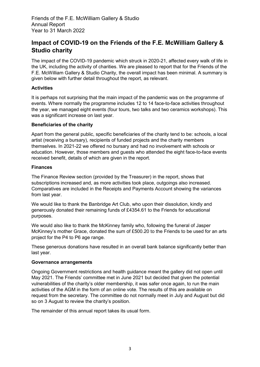# **Impact of COVID-19 on the Friends of the F.E. McWilliam Gallery & Studio charity**

The impact of the COVID-19 pandemic which struck in 2020-21, affected every walk of life in the UK, including the activity of charities. We are pleased to report that for the Friends of the F.E. McWilliam Gallery & Studio Charity, the overall impact has been minimal. A summary is given below with further detail throughout the report, as relevant.

# **Activities**

It is perhaps not surprising that the main impact of the pandemic was on the programme of events. Where normally the programme includes 12 to 14 face-to-face activities throughout the year, we managed eight events (four tours, two talks and two ceramics workshops). This was a significant increase on last year.

# **Beneficiaries of the charity**

Apart from the general public, specific beneficiaries of the charity tend to be: schools, a local artist (receiving a bursary), recipients of funded projects and the charity members themselves. In 2021-22 we offered no bursary and had no involvement with schools or education. However, those members and guests who attended the eight face-to-face events received benefit, details of which are given in the report.

#### **Finances**

The Finance Review section (provided by the Treasurer) in the report, shows that subscriptions increased and, as more activities took place, outgoings also increased. Comparatives are included in the Receipts and Payments Account showing the variances from last year.

We would like to thank the Banbridge Art Club, who upon their dissolution, kindly and generously donated their remaining funds of £4354.61 to the Friends for educational purposes.

We would also like to thank the McKinney family who, following the funeral of Jasper McKinney's mother Grace, donated the sum of £500.20 to the Friends to be used for an arts project for the P4 to P6 age range.

These generous donations have resulted in an overall bank balance significantly better than last year.

#### **Governance arrangements**

Ongoing Government restrictions and health guidance meant the gallery did not open until May 2021. The Friends' committee met in June 2021 but decided that given the potential vulnerabilities of the charity's older membership, it was safer once again, to run the main activities of the AGM in the form of an online vote. The results of this are available on request from the secretary. The committee do not normally meet in July and August but did so on 3 August to review the charity's position.

The remainder of this annual report takes its usual form.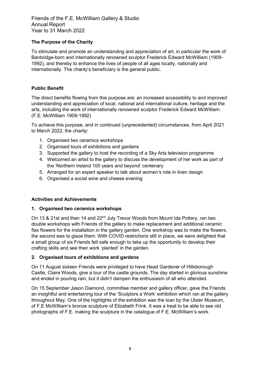# **The Purpose of the Charity**

To stimulate and promote an understanding and appreciation of art, in particular the work of Banbridge-born and internationally renowned sculptor Frederick Edward McWilliam (1909- 1992), and thereby to enhance the lives of people of all ages locally, nationally and internationally. The charity's beneficiary is the general public.

# **Public Benefit**

The direct benefits flowing from this purpose are: an increased accessibility to and improved understanding and appreciation of local, national and international culture, heritage and the arts, including the work of internationally renowned sculptor Frederick Edward McWilliam (F.E. McWilliam 1909-1992)

To achieve this purpose, and in continued (unprecedented) circumstances, from April 2021 to March 2022, the charity:

- 1. Organised two ceramics workshops
- 2. Organised tours of exhibitions and gardens
- 3. Supported the gallery to host the recording of a Sky Arts television programme
- 4. Welcomed an artist to the gallery to discuss the development of her work as part of the 'Northern Ireland 100 years and beyond' centenary
- 5. Arranged for an expert speaker to talk about women's role in linen design
- 6. Organised a social wine and cheese evening

#### **Activities and Achievements**

#### **1. Organised two ceramics workshops**

On 13 & 21st and then 14 and 22<sup>nd</sup> July Trevor Woods from Mount Ida Pottery, ran two double workshops with Friends of the gallery to make replacement and additional ceramic flax flowers for the installation in the gallery garden. One workshop was to make the flowers, the second was to glaze them. With COVID restrictions still in place, we were delighted that a small group of six Friends felt safe enough to take up the opportunity to develop their crafting skills and see their work 'planted' in the garden.

#### **2. Organised tours of exhibitions and gardens**

On 11 August sixteen Friends were privileged to have Head Gardener of Hillsborough Castle, Claire Woods, give a tour of the castle grounds. The day started in glorious sunshine and ended in pouring rain, but it didn't dampen the enthusiasm of all who attended.

On 15 September Jason Diamond, committee member and gallery officer, gave the Friends an insightful and entertaining tour of the 'Sculptors a Work' exhibition which ran at the gallery throughout May. One of the highlights of the exhibition was the loan by the Ulster Museum, of F.E McWilliam's bronze sculpture of Elizabeth Frink. It was a treat to be able to see old photographs of F.E. making the sculpture in the catalogue of F.E. McWilliam's work.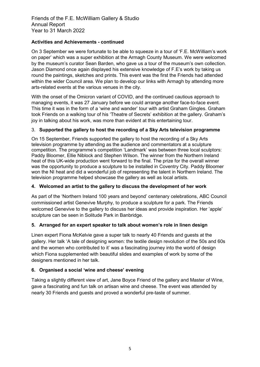# **Activities and Achievements - continued**

On 3 September we were fortunate to be able to squeeze in a tour of 'F.E. McWilliam's work on paper' which was a super exhibition at the Armagh County Museum. We were welcomed by the museum's curator Sean Barden, who gave us a tour of the museum's own collection. Jason Diamond once again displayed his extensive knowledge of F.E's work by taking us round the paintings, sketches and prints. This event was the first the Friends had attended within the wider Council area. We plan to develop our links with Armagh by attending more arts-related events at the various venues in the city.

With the onset of the Omicron variant of COVID, and the continued cautious approach to managing events, it was 27 January before we could arrange another face-to-face event. This time it was in the form of a 'wine and wander' tour with artist Graham Gingles. Graham took Friends on a walking tour of his 'Theatre of Secrets' exhibition at the gallery. Graham's joy in talking about his work, was more than evident at this entertaining tour.

# 3. **Supported the gallery to host the recording of a Sky Arts television programme**

On 15 September, Friends supported the gallery to host the recording of a Sky Arts television programme by attending as the audience and commentators at a sculpture competition. The programme's competition 'Landmark' was between three local sculptors: Paddy Bloomer, Ellie Niblock and Stephen Wilson. The winner from the Northern Ireland heat of this UK-wide production went forward to the final. The prize for the overall winner was the opportunity to produce a sculpture to be installed in Coventry City. Paddy Bloomer won the NI heat and did a wonderful job of representing the talent in Northern Ireland. The television programme helped showcase the gallery as well as local artists.

#### **4. Welcomed an artist to the gallery to discuss the development of her work**

As part of the 'Northern Ireland 100 years and beyond' centenary celebrations, ABC Council commissioned artist Genevive Murphy, to produce a sculpture for a park. The Friends welcomed Genevive to the gallery to discuss her ideas and provide inspiration. Her 'apple' sculpture can be seen in Solitude Park in Banbridge.

# **5. Arranged for an expert speaker to talk about women's role in linen design**

Linen expert Fiona McKelvie gave a super talk to nearly 40 Friends and guests at the gallery. Her talk 'A tale of designing women: the textile design revolution of the 50s and 60s and the women who contributed to it' was a fascinating journey into the world of design which Fiona supplemented with beautiful slides and examples of work by some of the designers mentioned in her talk.

# **6. Organised a social 'wine and cheese' evening**

Taking a slightly different view of art, Jane Boyce Friend of the gallery and Master of Wine, gave a fascinating and fun talk on artisan wine and cheese. The event was attended by nearly 30 Friends and guests and proved a wonderful pre-taste of summer.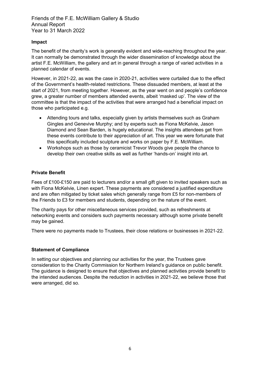# **Impact**

The benefit of the charity's work is generally evident and wide-reaching throughout the year. It can normally be demonstrated through the wider dissemination of knowledge about the artist F.E. McWilliam, the gallery and art in general through a range of varied activities in a planned calendar of events.

However, in 2021-22, as was the case in 2020-21, activities were curtailed due to the effect of the Government's health-related restrictions. These dissuaded members, at least at the start of 2021, from meeting together. However, as the year went on and people's confidence grew, a greater number of members attended events, albeit 'masked up'. The view of the committee is that the impact of the activities that were arranged had a beneficial impact on those who participated e.g.

- Attending tours and talks, especially given by artists themselves such as Graham Gingles and Genevive Murphy; and by experts such as Fiona McKelvie, Jason Diamond and Sean Barden, is hugely educational. The insights attendees get from these events contribute to their appreciation of art. This year we were fortunate that this specifically included sculpture and works on paper by F.E. McWilliam.
- Workshops such as those by ceramicist Trevor Woods give people the chance to develop their own creative skills as well as further 'hands-on' insight into art.

# **Private Benefit**

Fees of £100-£150 are paid to lecturers and/or a small gift given to invited speakers such as with Fiona McKelvie, Linen expert. These payments are considered a justified expenditure and are often mitigated by ticket sales which generally range from £5 for non-members of the Friends to £3 for members and students, depending on the nature of the event.

The charity pays for other miscellaneous services provided, such as refreshments at networking events and considers such payments necessary although some private benefit may be gained.

There were no payments made to Trustees, their close relations or businesses in 2021-22.

#### **Statement of Compliance**

In setting our objectives and planning our activities for the year, the Trustees gave consideration to the Charity Commission for Northern Ireland's guidance on public benefit. The guidance is designed to ensure that objectives and planned activities provide benefit to the intended audiences. Despite the reduction in activities in 2021-22, we believe those that were arranged, did so.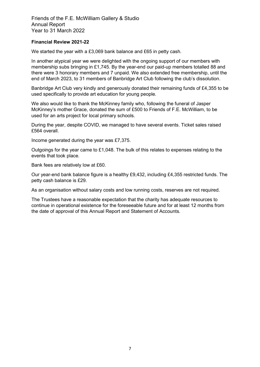#### **Financial Review 2021-22**

We started the year with a £3,069 bank balance and £65 in petty cash.

In another atypical year we were delighted with the ongoing support of our members with membership subs bringing in £1,745. By the year-end our paid-up members totalled 88 and there were 3 honorary members and 7 unpaid. We also extended free membership, until the end of March 2023, to 31 members of Banbridge Art Club following the club's dissolution.

Banbridge Art Club very kindly and generously donated their remaining funds of £4,355 to be used specifically to provide art education for young people.

We also would like to thank the McKinney family who, following the funeral of Jasper McKinney's mother Grace, donated the sum of £500 to Friends of F.E. McWilliam, to be used for an arts project for local primary schools.

During the year, despite COVID, we managed to have several events. Ticket sales raised £564 overall.

Income generated during the year was £7,375.

Outgoings for the year came to £1,048. The bulk of this relates to expenses relating to the events that took place.

Bank fees are relatively low at £60.

Our year-end bank balance figure is a healthy £9,432, including £4,355 restricted funds. The petty cash balance is £29.

As an organisation without salary costs and low running costs, reserves are not required.

The Trustees have a reasonable expectation that the charity has adequate resources to continue in operational existence for the foreseeable future and for at least 12 months from the date of approval of this Annual Report and Statement of Accounts.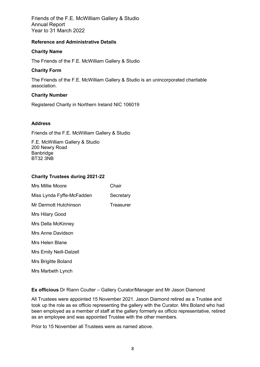#### **Reference and Administrative Details**

# **Charity Name**

The Friends of the F.E. McWilliam Gallery & Studio

# **Charity Form**

The Friends of the F.E. McWilliam Gallery & Studio is an unincorporated charitable association.

# **Charity Number**

Registered Charity in Northern Ireland NIC 106019

# **Address**

Friends of the F.E. McWilliam Gallery & Studio

F.E. McWilliam Gallery & Studio 200 Newry Road **Banbridge** BT32 3NB

# **Charity Trustees during 2021-22**

| Mrs Millie Moore          | Chair     |
|---------------------------|-----------|
| Miss Lynda Fyffe-McFadden | Secretary |
| Mr Dermott Hutchinson     | Treasurer |
| Mrs Hilary Good           |           |
| Mrs Della McKinney        |           |
| Mrs Anne Davidson         |           |
| Mrs Helen Blane           |           |
| Mrs Emily Neill-Dalzell   |           |
| Mrs Brigitte Boland       |           |
| Mrs Marbeth Lynch         |           |
|                           |           |

**Ex officious** Dr Riann Coulter – Gallery Curator/Manager and Mr Jason Diamond

All Trustees were appointed 15 November 2021. Jason Diamond retired as a Trustee and took up the role as ex officio representing the gallery with the Curator. Mrs Boland who had been employed as a member of staff at the gallery formerly ex officio representative, retired as an employee and was appointed Trustee with the other members.

Prior to 15 November all Trustees were as named above.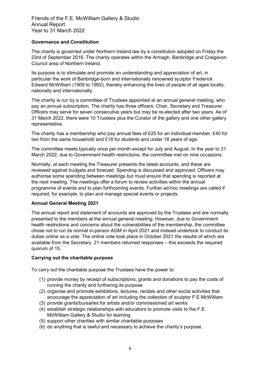# **Governance and Constitution**

The charity is governed under Northern Ireland law by a constitution adopted on Friday the 23rd of September 2016. The charity operates within the Armagh, Banbridge and Craigavon Council area of Northern Ireland.

Its purpose is to stimulate and promote an understanding and appreciation of art, in particular the work of Banbridge-born and internationally renowned sculptor Frederick Edward McWilliam (1909 to 1992), thereby enhancing the lives of people of all ages locally, nationally and internationally.

The charity is run by a committee of Trustees appointed at an annual general meeting, who pay an annual subscription. The charity has three officers: Chair, Secretary and Treasurer. Officers may serve for seven consecutive years but may be re-elected after two years. As of 31 March 2022, there were 10 Trustees plus the Curator of the gallery and one other gallery representative.

The charity has a membership who pay annual fees of £25 for an individual member, £40 for two from the same household and £18 for students and under 18 years of age.

The committee meets typically once per month except for July and August. In the year to 31 March 2022, due to Government health restrictions, the committee met on nine occasions.

Normally, at each meeting the Treasurer presents the latest accounts, and these are reviewed against budgets and forecast. Spending is discussed and approved. Officers may authorise some spending between meetings but must ensure that spending is reported at the next meeting. The meetings offer a forum to review activities within the annual programme of events and to plan forthcoming events. Further ad-hoc meetings are called if required, for example, to plan and manage special events or projects.

#### **Annual General Meeting 2021**

The annual report and statement of accounts are approved by the Trustees and are normally presented to the members at the annual general meeting. However, due to Government health restrictions and concerns about the vulnerabilities of the membership, the committee chose not to run its normal in-person AGM in April 2021 and instead undertook to conduct its duties online as a vote. The online vote took place in October 2021 the results of which are available from the Secretary. 21 members returned responses – this exceeds the required quorum of 15.

#### **Carrying out the charitable purpose**

To carry out the charitable purpose the Trustees have the power to:

- (1) provide money by receipt of subscriptions, grants and donations to pay the costs of running the charity and furthering its purpose
- (2) organise and promote exhibitions, lectures, recitals and other social activities that encourage the appreciation of art including the collection of sculptor F.E McWilliam
- (3) provide grants/bursaries for artists and/or commissioned art works
- (4) establish strategic relationships with educators to promote visits to the F.E. McWilliam Gallery & Studio for learning
- (5) support other charities with similar charitable purposes
- (6) do anything that is lawful and necessary to achieve the charity's purpose.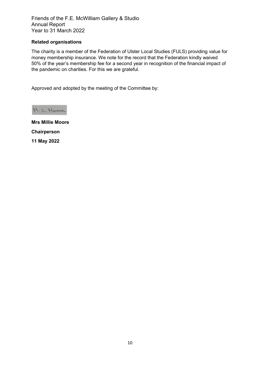# **Related organisations**

The charity is a member of the Federation of Ulster Local Studies (FULS) providing value for money membership insurance. We note for the record that the Federation kindly waived 50% of the year's membership fee for a second year in recognition of the financial impact of the pandemic on charities. For this we are grateful.

Approved and adopted by the meeting of the Committee by:

M. C. Hoove

**Mrs Millie Moore Chairperson 11 May 2022**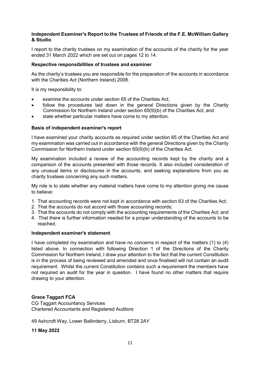#### **Independent Examiner's Report to the Trustees of Friends of the F.E. McWilliam Gallery & Studio**

I report to the charity trustees on my examination of the accounts of the charity for the year ended 31 March 2022 which are set out on pages 12 to 14.

#### **Respective responsibilities of trustees and examiner**

As the charity's trustees you are responsible for the preparation of the accounts in accordance with the Charities Act (Northern Ireland) 2008.

It is my responsibility to:

- examine the accounts under section 65 of the Charities Act:
- follow the procedures laid down in the general Directions given by the Charity Commission for Northern Ireland under section 65(9)(b) of the Charities Act; and
- state whether particular matters have come to my attention.

#### **Basis of independent examiner's report**

I have examined your charity accounts as required under section 65 of the Charities Act and my examination was carried out in accordance with the general Directions given by the Charity Commission for Northern Ireland under section 65(9)(b) of the Charities Act.

My examination included a review of the accounting records kept by the charity and a comparison of the accounts presented with those records. It also included consideration of any unusual items or disclosures in the accounts, and seeking explanations from you as charity trustees concerning any such matters.

My role is to state whether any material matters have come to my attention giving me cause to believe:

- 1. That accounting records were not kept in accordance with section 63 of the Charities Act;
- 2. That the accounts do not accord with those accounting records;
- 3. That the accounts do not comply with the accounting requirements of the Charities Act; and
- 4. That there is further information needed for a proper understanding of the accounts to be reached.

#### **Independent examiner's statement**

I have completed my examination and have no concerns in respect of the matters (1) to (4) listed above. In connection with following Direction 1 of the Directions of the Charity Commission for Northern Ireland, I draw your attention to the fact that the current Constitution is in the process of being reviewed and amended and once finalised will not contain an audit requirement. Whilst the current Constitution contains such a requirement the members have not required an audit for the year in question. I have found no other matters that require drawing to your attention.

#### **Grace Taggart FCA**

CG Taggart Accountancy Services Chartered Accountants and Registered Auditors

49 Ashcroft Way, Lower Ballinderry, Lisburn, BT28 2AY

**11 May 2022**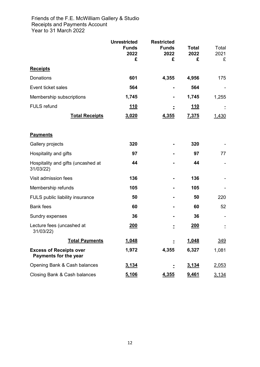# Friends of the F.E. McWilliam Gallery & Studio Receipts and Payments Account Year to 31 March 2022

|                                                         | <b>Unrestricted</b><br><b>Funds</b><br>2022<br>£ | <b>Restricted</b><br><b>Funds</b><br>2022<br>£ | <b>Total</b><br>2022<br>£ | Total<br>2021<br>£ |
|---------------------------------------------------------|--------------------------------------------------|------------------------------------------------|---------------------------|--------------------|
| <b>Receipts</b>                                         |                                                  |                                                |                           |                    |
| Donations                                               | 601                                              | 4,355                                          | 4,956                     | 175                |
| Event ticket sales                                      | 564                                              |                                                | 564                       |                    |
| Membership subscriptions                                | 1,745                                            |                                                | 1,745                     | 1,255              |
| <b>FULS</b> refund                                      | <u> 110</u>                                      |                                                | <u>110</u>                |                    |
| <b>Total Receipts</b>                                   | 3,020                                            | 4,355                                          | 7,375                     | 1,430              |
| <b>Payments</b>                                         |                                                  |                                                |                           |                    |
| Gallery projects                                        | 320                                              |                                                | 320                       |                    |
| Hospitality and gifts                                   | 97                                               |                                                | 97                        | 77                 |
| Hospitality and gifts (uncashed at<br>31/03/22)         | 44                                               |                                                | 44                        |                    |
| Visit admission fees                                    | 136                                              |                                                | 136                       |                    |
| Membership refunds                                      | 105                                              |                                                | 105                       |                    |
| FULS public liability insurance                         | 50                                               |                                                | 50                        | 220                |
| <b>Bank fees</b>                                        | 60                                               |                                                | 60                        | 52                 |
| Sundry expenses                                         | 36                                               |                                                | 36                        |                    |
| Lecture fees (uncashed at<br>31/03/22)                  | <u>200</u>                                       |                                                | <u>200</u>                |                    |
| <b>Total Payments</b>                                   | 1,048                                            |                                                | 1,048                     | <u>349</u>         |
| <b>Excess of Receipts over</b><br>Payments for the year | 1,972                                            | 4,355                                          | 6,327                     | 1,081              |
| Opening Bank & Cash balances                            | 3,134                                            |                                                | 3,134                     | 2,053              |
| Closing Bank & Cash balances                            | 5,106                                            | 4,355                                          | 9,461                     | 3,134              |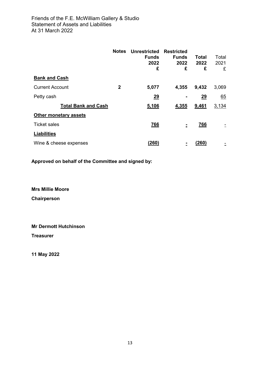| <b>Bank and Cash</b>         | <b>Notes</b> | <b>Unrestricted</b><br><b>Funds</b><br>2022<br>£ | Restricted<br><b>Funds</b><br>2022<br>£ | Total<br>2022<br>£ | Total<br>2021<br>£ |
|------------------------------|--------------|--------------------------------------------------|-----------------------------------------|--------------------|--------------------|
|                              |              |                                                  |                                         |                    |                    |
| <b>Current Account</b>       | $\mathbf{2}$ | 5,077                                            | 4,355                                   | 9,432              | 3,069              |
| Petty cash                   |              | 29                                               |                                         | 29                 | 65                 |
| <b>Total Bank and Cash</b>   |              | 5,106                                            | 4,355                                   | 9,461              | 3,134              |
| <b>Other monetary assets</b> |              |                                                  |                                         |                    |                    |
| <b>Ticket sales</b>          |              | <u>766</u>                                       | ۰                                       | <u>766</u>         |                    |
| <b>Liabilities</b>           |              |                                                  |                                         |                    |                    |
| Wine & cheese expenses       |              | (260)                                            |                                         | (260)              |                    |

**Approved on behalf of the Committee and signed by:** 

**Mrs Millie Moore Chairperson**

**Mr Dermott Hutchinson Treasurer**

**11 May 2022**